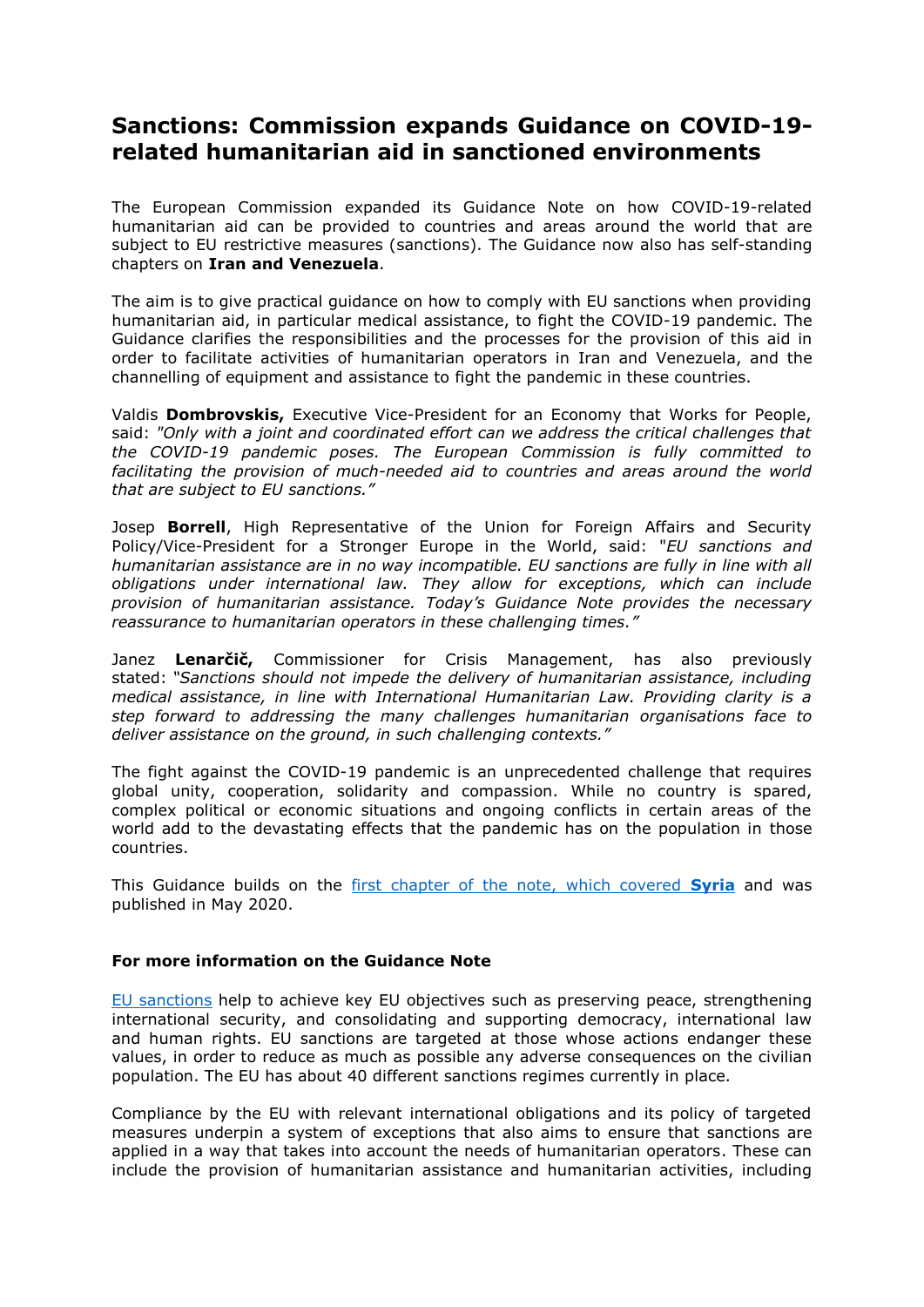## **Sanctions: Commission expands Guidance on COVID-19 related humanitarian aid in sanctioned environments**

The European Commission expanded its Guidance Note on how COVID-19-related humanitarian aid can be provided to countries and areas around the world that are subject to EU restrictive measures (sanctions). The Guidance now also has self-standing chapters on **Iran and Venezuela**.

The aim is to give practical guidance on how to comply with EU sanctions when providing humanitarian aid, in particular medical assistance, to fight the COVID-19 pandemic. The Guidance clarifies the responsibilities and the processes for the provision of this aid in order to facilitate activities of humanitarian operators in Iran and Venezuela, and the channelling of equipment and assistance to fight the pandemic in these countries.

Valdis **Dombrovskis,** Executive Vice-President for an Economy that Works for People, said: *"Only with a joint and coordinated effort can we address the critical challenges that the COVID-19 pandemic poses. The European Commission is fully committed to facilitating the provision of much-needed aid to countries and areas around the world that are subject to EU sanctions."*

Josep **Borrell**, High Representative of the Union for Foreign Affairs and Security Policy/Vice-President for a Stronger Europe in the World, said: "*EU sanctions and humanitarian assistance are in no way incompatible. EU sanctions are fully in line with all obligations under international law. They allow for exceptions, which can include provision of humanitarian assistance. Today's Guidance Note provides the necessary reassurance to humanitarian operators in these challenging times."*

Janez **Lenarčič,** Commissioner for Crisis Management, has also previously stated: *"Sanctions should not impede the delivery of humanitarian assistance, including medical assistance, in line with International Humanitarian Law. Providing clarity is a step forward to addressing the many challenges humanitarian organisations face to deliver assistance on the ground, in such challenging contexts."*

The fight against the COVID-19 pandemic is an unprecedented challenge that requires global unity, cooperation, solidarity and compassion. While no country is spared, complex political or economic situations and ongoing conflicts in certain areas of the world add to the devastating effects that the pandemic has on the population in those countries.

This Guidance builds on the [first chapter of the note, which covered](https://ec.europa.eu/info/files/200511-syria-humanitarian-aid-guidance-note_en) **Syria** and was published in May 2020.

## **For more information on the Guidance Note**

[EU sanctions](https://ec.europa.eu/info/business-economy-euro/banking-and-finance/international-relations/sanctions_en) help to achieve key EU objectives such as preserving peace, strengthening international security, and consolidating and supporting democracy, international law and human rights. EU sanctions are targeted at those whose actions endanger these values, in order to reduce as much as possible any adverse consequences on the civilian population. The EU has about 40 different sanctions regimes currently in place.

Compliance by the EU with relevant international obligations and its policy of targeted measures underpin a system of exceptions that also aims to ensure that sanctions are applied in a way that takes into account the needs of humanitarian operators. These can include the provision of humanitarian assistance and humanitarian activities, including